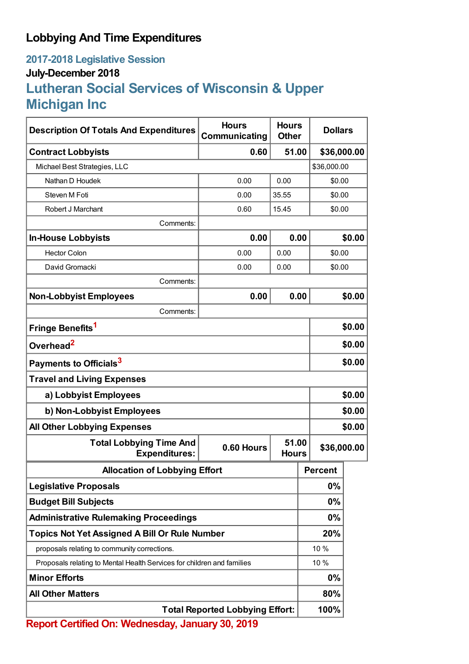## **Lobbying And Time Expenditures**

### **2017-2018 Legislative Session July-December 2018**

# **Lutheran Social Services of Wisconsin & Upper Michigan Inc**

| <b>Description Of Totals And Expenditures</b>                          | <b>Hours</b><br>Communicating | <b>Hours</b><br><b>Other</b> | <b>Dollars</b> |        |  |
|------------------------------------------------------------------------|-------------------------------|------------------------------|----------------|--------|--|
| <b>Contract Lobbyists</b>                                              | 0.60                          | 51.00                        | \$36,000.00    |        |  |
| Michael Best Strategies, LLC                                           |                               |                              | \$36,000.00    |        |  |
| Nathan D Houdek                                                        | 0.00                          | 0.00                         |                | \$0.00 |  |
| Steven M Foti                                                          | 0.00                          | 35.55                        | \$0.00         |        |  |
| Robert J Marchant                                                      | 0.60                          | 15.45                        | \$0.00         |        |  |
| Comments:                                                              |                               |                              |                |        |  |
| <b>In-House Lobbyists</b>                                              | 0.00                          | 0.00                         | \$0.00         |        |  |
| <b>Hector Colon</b>                                                    | 0.00                          | 0.00                         | \$0.00         |        |  |
| David Gromacki                                                         | 0.00                          | 0.00                         | \$0.00         |        |  |
| Comments:                                                              |                               |                              |                |        |  |
| <b>Non-Lobbyist Employees</b>                                          | 0.00                          | 0.00                         |                | \$0.00 |  |
| Comments:                                                              |                               |                              |                |        |  |
| Fringe Benefits <sup>1</sup>                                           |                               |                              |                | \$0.00 |  |
| Overhead <sup>2</sup>                                                  |                               |                              |                | \$0.00 |  |
| Payments to Officials <sup>3</sup>                                     |                               |                              |                | \$0.00 |  |
| <b>Travel and Living Expenses</b>                                      |                               |                              |                |        |  |
| a) Lobbyist Employees                                                  |                               |                              |                | \$0.00 |  |
| b) Non-Lobbyist Employees                                              |                               |                              |                | \$0.00 |  |
| <b>All Other Lobbying Expenses</b>                                     |                               |                              |                | \$0.00 |  |
| <b>Total Lobbying Time And</b><br><b>Expenditures:</b>                 | 0.60 Hours                    | 51.00<br><b>Hours</b>        | \$36,000.00    |        |  |
| <b>Allocation of Lobbying Effort</b>                                   |                               |                              | <b>Percent</b> |        |  |
| <b>Legislative Proposals</b>                                           |                               |                              | 0%             |        |  |
| <b>Budget Bill Subjects</b>                                            |                               |                              | 0%             |        |  |
| <b>Administrative Rulemaking Proceedings</b>                           |                               |                              | 0%             |        |  |
| Topics Not Yet Assigned A Bill Or Rule Number                          |                               |                              | 20%            |        |  |
| proposals relating to community corrections.                           |                               |                              | 10 %           |        |  |
| Proposals relating to Mental Health Services for children and families |                               |                              | 10%            |        |  |
| <b>Minor Efforts</b>                                                   |                               |                              | 0%             |        |  |
| <b>All Other Matters</b>                                               |                               |                              | 80%            |        |  |
| <b>Total Reported Lobbying Effort:</b>                                 |                               |                              | 100%           |        |  |

**Report Certified On: Wednesday, January 30, 2019**